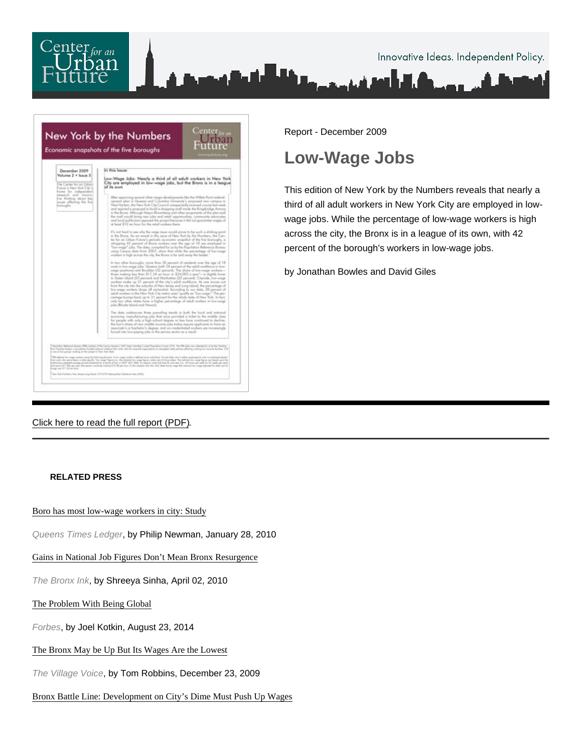

Report - December 2009

## Low-Wage Jobs

This edition of New York by the Numbers reveals that nearly a third of all adult workers in New York City are employed in lowwage jobs. While the percentage of low-wage workers is high across the city, the Bronx is in a league of its own, with 42 percent of the borough's workers in low-wage jobs.

by Jonathan Bowles and David Giles

[Click here to read the full report \(PDF\).](http://nycfuture.org/pdf/Low-Wage_Jobs.pdf)

## RELATED PRESS

[Boro has most low-wage workers in city: St](http://www.yournabe.com/articles/2010/01/28/queens/queensgwoheqi01282010.txt)udy

Queens Times Ledger, by Philip Newman, January 28, 2010

[Gains in National Job Figures Don't Mean Bronx Resurg](http://bronxink.org/2010/04/02/6427-gains-in-national-job-figures-dont-mean-bronx-resurgence/)ence

The Bronx Ink, by Shreeya Sinha, April 02, 2010

[The Problem With Being Glob](http://www.forbes.com/sites/joelkotkin/2014/08/23/the-problem-with-being-global/)al

Forbes, by Joel Kotkin, August 23, 2014

[The Bronx May be Up But Its Wages Are the Low](http://blogs.villagevoice.com/runninscared/archives/2009/12/the_bronx_may_b.php)est

The Village Voice, by Tom Robbins, December 23, 2009

[Bronx Battle Line: Development on City's Dime Must Push Up W](http://labornotes.org/2010/01/bronx-battle-line-development-driven-city-dollars-must-push-wages)ages